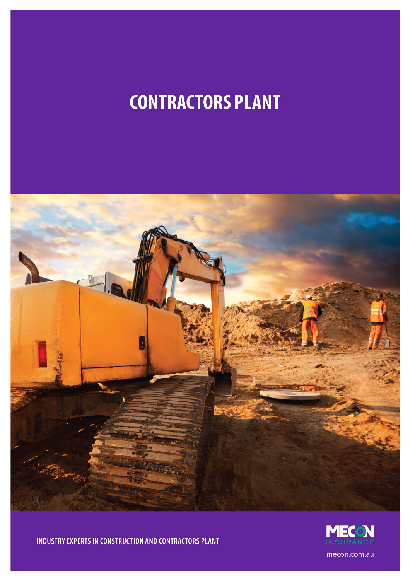# **CONTRACTORS PLANT**





INDUSTRY EXPERTS IN CONSTRUCTION AND CONTRACTORS PLANT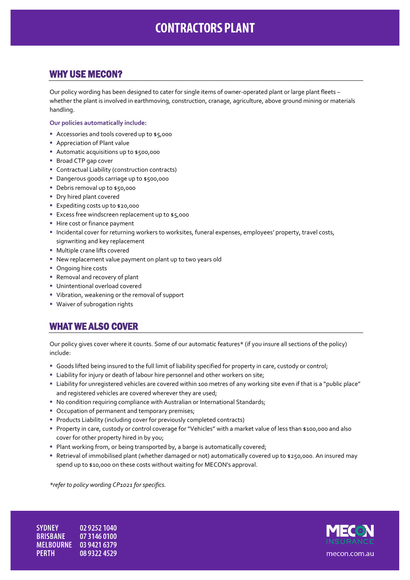## **CONTRACTORS PLANT**

#### WHY USE MECON?

Our policy wording has been designed to cater for single items of owner-operated plant or large plant fleets – whether the plant is involved in earthmoving, construction, cranage, agriculture, above ground mining or materials handling.

#### **Our policies automatically include:**

- Accessories and tools covered up to \$5,000
- **Appreciation of Plant value**
- Automatic acquisitions up to \$500,000
- **Broad CTP gap cover**
- Contractual Liability (construction contracts)
- Dangerous goods carriage up to \$500,000
- Debris removal up to \$50,000
- **Dry hired plant covered**
- Expediting costs up to \$20,000
- **Excess free windscreen replacement up to \$5,000**
- **Hire cost or finance payment**
- Incidental cover for returning workers to worksites, funeral expenses, employees' property, travel costs, signwriting and key replacement
- Multiple crane lifts covered
- New replacement value payment on plant up to two years old
- Ongoing hire costs
- **Removal and recovery of plant**
- **Unintentional overload covered**
- Vibration, weakening or the removal of support
- Waiver of subrogation rights

#### WHAT WE ALSO COVER

Our policy gives cover where it counts. Some of our automatic features\* (if you insure all sections of the policy) include:

- Goods lifted being insured to the full limit of liability specified for property in care, custody or control;
- **EXTENDITY** Liability for injury or death of labour hire personnel and other workers on site;
- Liability for unregistered vehicles are covered within 100 metres of any working site even if that is a "public place" and registered vehicles are covered wherever they are used;
- No condition requiring compliance with Australian or International Standards;
- Occupation of permanent and temporary premises;
- **Products Liability (including cover for previously completed contracts)**
- Property in care, custody or control coverage for "Vehicles" with a market value of less than \$100,000 and also cover for other property hired in by you;
- **Plant working from, or being transported by, a barge is automatically covered;**
- Retrieval of immobilised plant (whether damaged or not) automatically covered up to \$250,000. An insured may spend up to \$10,000 on these costs without waiting for MECON's approval.

*\*refer to policy wording CP1021 for specifics.*

**SYDNEY** 02 9252 1040 **BRISBANE** 07 3146 0100 MELBOURNE 03 9421 6379 **PERTH** 08 9322 4529